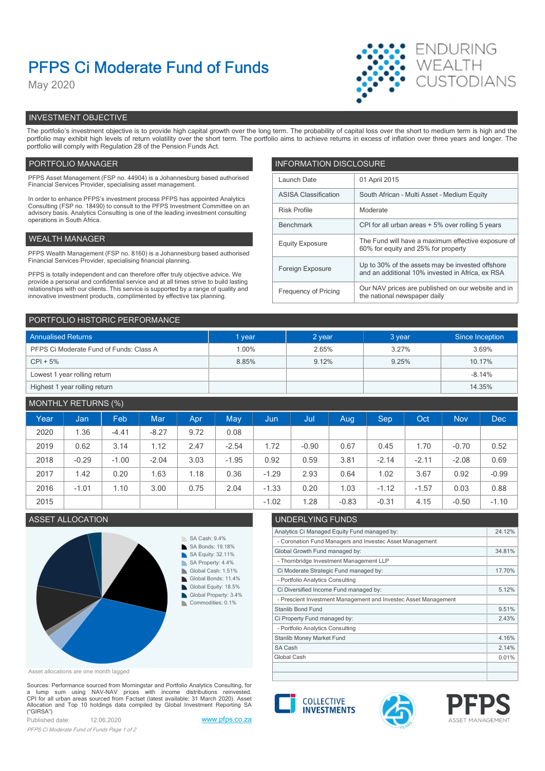# PFPS Ci Moderate Fund of Funds

May 2020



# INVESTMENT OBJECTIVE

The portfolio's investment objective is to provide high capital growth over the long term. The probability of capital loss over the short to medium term is high and the portfolio may exhibit high levels of return volatility over the short term. The portfolio aims to achieve returns in excess of inflation over three years and longer. The portfolio will comply with Regulation 28 of the Pension Funds Act.

# PORTFOLIO MANAGER **INFORMATION DISCLOSURE**

| PFPS Asset Management (FSP no. 44904) is a Johannesburg based authorised<br>Financial Services Provider, specialising asset management.                                | Launch Date                                                                                                | 01 April 2015                                                                             |
|------------------------------------------------------------------------------------------------------------------------------------------------------------------------|------------------------------------------------------------------------------------------------------------|-------------------------------------------------------------------------------------------|
| In order to enhance PFPS's investment process PFPS has appointed Analytics                                                                                             | <b>ASISA Classification</b>                                                                                | South African - Multi Asset - Medium Equity                                               |
| Consulting (FSP no. 18490) to consult to the PFPS Investment Committee on an<br>advisory basis. Analytics Consulting is one of the leading investment consulting       | <b>Risk Profile</b><br>Moderate                                                                            |                                                                                           |
| operations in South Africa.                                                                                                                                            | Benchmark                                                                                                  | CPI for all urban areas + 5% over rolling 5 years                                         |
| WEALTH MANAGER                                                                                                                                                         | <b>Equity Exposure</b>                                                                                     | The Fund will have a maximum effective exposure of<br>60% for equity and 25% for property |
| PFPS Wealth Management (FSP no. 8160) is a Johannesburg based authorised                                                                                               |                                                                                                            |                                                                                           |
| Financial Services Provider, specialising financial planning.                                                                                                          | Foreign Exposure                                                                                           | Up to 30% of the assets may be invested offshore                                          |
| PFPS is totally independent and can therefore offer truly objective advice. We<br>provide a personal and confidential service and at all times strive to build lasting |                                                                                                            | and an additional 10% invested in Africa, ex RSA                                          |
| relationships with our clients. This service is supported by a range of quality and<br>innovative investment products, complimented by effective tax planning.         | Our NAV prices are published on our website and in<br>Frequency of Pricing<br>the national newspaper daily |                                                                                           |
|                                                                                                                                                                        |                                                                                                            |                                                                                           |

| PORTFOLIO HISTORIC PERFORMANCE          |        |        |        |                 |  |  |
|-----------------------------------------|--------|--------|--------|-----------------|--|--|
| <b>Annualised Returns</b>               | 1 year | 2 year | 3 year | Since Inception |  |  |
| PFPS Ci Moderate Fund of Funds: Class A | 1.00%  | 2.65%  | 3.27%  | 3.69%           |  |  |
| $CPI + 5%$                              | 8.85%  | 9.12%  | 9.25%  | 10.17%          |  |  |
| Lowest 1 year rolling return            |        |        |        | $-8.14%$        |  |  |
| Highest 1 year rolling return           |        |        |        | 14.35%          |  |  |

# MONTHLY RETURNS (%)

|      |         | $\sim$ $\sim$ |         |      |            |         |         |         |         |         |            |            |
|------|---------|---------------|---------|------|------------|---------|---------|---------|---------|---------|------------|------------|
| Year | Jan     | Feb           | Mar     | Apr  | <b>May</b> | Jun,    | Jul     | Aug     | Sep     | Oct     | <b>Nov</b> | <b>Dec</b> |
| 2020 | 1.36    | $-4.41$       | $-8.27$ | 9.72 | 0.08       |         |         |         |         |         |            |            |
| 2019 | 0.62    | 3.14          | 1.12    | 2.47 | $-2.54$    | 1.72    | $-0.90$ | 0.67    | 0.45    | .70     | $-0.70$    | 0.52       |
| 2018 | $-0.29$ | $-1.00$       | $-2.04$ | 3.03 | $-1.95$    | 0.92    | 0.59    | 3.81    | $-2.14$ | $-2.11$ | $-2.08$    | 0.69       |
| 2017 | 1.42    | 0.20          | 1.63    | 1.18 | 0.36       | $-1.29$ | 2.93    | 0.64    | 1.02    | 3.67    | 0.92       | $-0.99$    |
| 2016 | $-1.01$ | 1.10          | 3.00    | 0.75 | 2.04       | $-1.33$ | 0.20    | 1.03    | $-1.12$ | $-1.57$ | 0.03       | 0.88       |
| 2015 |         |               |         |      |            | $-1.02$ | .28     | $-0.83$ | $-0.31$ | 4.15    | $-0.50$    | $-1.10$    |
|      |         |               |         |      |            |         |         |         |         |         |            |            |



Asset allocations are one month lagged

Sources: Performance sourced from Morningstar and Portfolio Analytics Consulting, for<br>a \_ lump \_ sum \_ using \_ NAV-NAV \_ prices \_ with \_ income\_\_ distributions\_\_reinvested.<br>CPI for all urban areas sourced from Factset (lat CPI for all urban areas sourced from Factset (latest available: 31 March 2020). Asset<br>Allocation and Top 10 holdings data compiled by Global Investment Reporting SA **COLLECTIVE INVESTMENTS** ("GIRSA")

Published date: 12.06.2020 www.pfps.co.za PFPS Ci Moderate Fund of Funds Page 1 of 2



| Analytics Ci Managed Equity Fund managed by:                    | 24.12% |
|-----------------------------------------------------------------|--------|
| - Coronation Fund Managers and Investec Asset Management        |        |
| Global Growth Fund managed by:                                  | 34.81% |
| - Thornbridge Investment Management LLP                         |        |
| Ci Moderate Strategic Fund managed by:                          | 17.70% |
| - Portfolio Analytics Consulting                                |        |
| Ci Diversified Income Fund managed by:                          | 5.12%  |
| - Prescient Investment Management and Investec Asset Management |        |
| Stanlib Bond Fund                                               | 9.51%  |
| Ci Property Fund managed by:                                    | 2.43%  |
| - Portfolio Analytics Consulting                                |        |
| Stanlib Money Market Fund                                       | 4.16%  |
| SA Cash                                                         | 2.14%  |
| Global Cash                                                     | 0.01%  |
|                                                                 |        |